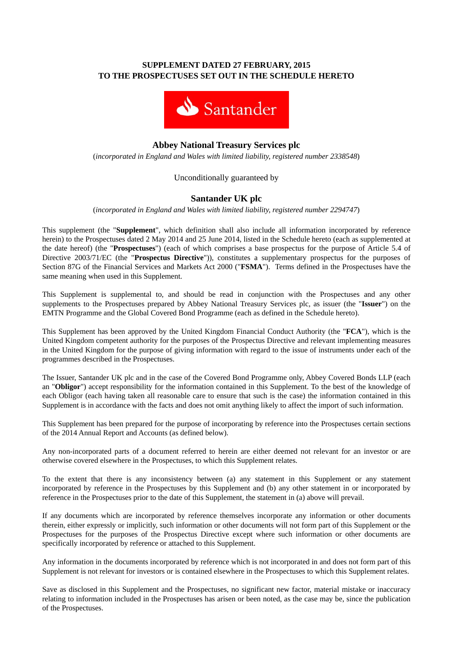## **SUPPLEMENT DATED 27 FEBRUARY, 2015 TO THE PROSPECTUSES SET OUT IN THE SCHEDULE HERETO**



# **Abbey National Treasury Services plc**

(*incorporated in England and Wales with limited liability, registered number 2338548*)

### Unconditionally guaranteed by

## **Santander UK plc**

(*incorporated in England and Wales with limited liability, registered number 2294747*)

This supplement (the "**Supplement**", which definition shall also include all information incorporated by reference herein) to the Prospectuses dated 2 May 2014 and 25 June 2014, listed in the Schedule hereto (each as supplemented at the date hereof) (the "**Prospectuses**") (each of which comprises a base prospectus for the purpose of Article 5.4 of Directive 2003/71/EC (the "**Prospectus Directive**")), constitutes a supplementary prospectus for the purposes of Section 87G of the Financial Services and Markets Act 2000 ("**FSMA**"). Terms defined in the Prospectuses have the same meaning when used in this Supplement.

This Supplement is supplemental to, and should be read in conjunction with the Prospectuses and any other supplements to the Prospectuses prepared by Abbey National Treasury Services plc, as issuer (the "**Issuer**") on the EMTN Programme and the Global Covered Bond Programme (each as defined in the Schedule hereto).

This Supplement has been approved by the United Kingdom Financial Conduct Authority (the "**FCA**"), which is the United Kingdom competent authority for the purposes of the Prospectus Directive and relevant implementing measures in the United Kingdom for the purpose of giving information with regard to the issue of instruments under each of the programmes described in the Prospectuses.

The Issuer, Santander UK plc and in the case of the Covered Bond Programme only, Abbey Covered Bonds LLP (each an "**Obligor**") accept responsibility for the information contained in this Supplement. To the best of the knowledge of each Obligor (each having taken all reasonable care to ensure that such is the case) the information contained in this Supplement is in accordance with the facts and does not omit anything likely to affect the import of such information.

This Supplement has been prepared for the purpose of incorporating by reference into the Prospectuses certain sections of the 2014 Annual Report and Accounts (as defined below).

Any non-incorporated parts of a document referred to herein are either deemed not relevant for an investor or are otherwise covered elsewhere in the Prospectuses, to which this Supplement relates.

To the extent that there is any inconsistency between (a) any statement in this Supplement or any statement incorporated by reference in the Prospectuses by this Supplement and (b) any other statement in or incorporated by reference in the Prospectuses prior to the date of this Supplement, the statement in (a) above will prevail.

If any documents which are incorporated by reference themselves incorporate any information or other documents therein, either expressly or implicitly, such information or other documents will not form part of this Supplement or the Prospectuses for the purposes of the Prospectus Directive except where such information or other documents are specifically incorporated by reference or attached to this Supplement.

Any information in the documents incorporated by reference which is not incorporated in and does not form part of this Supplement is not relevant for investors or is contained elsewhere in the Prospectuses to which this Supplement relates.

Save as disclosed in this Supplement and the Prospectuses, no significant new factor, material mistake or inaccuracy relating to information included in the Prospectuses has arisen or been noted, as the case may be, since the publication of the Prospectuses.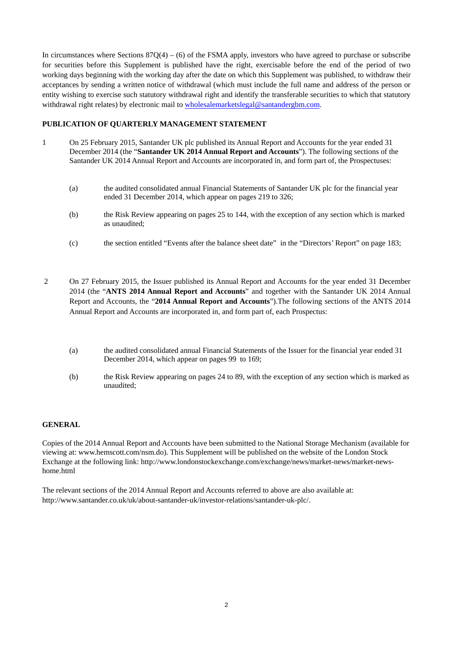In circumstances where Sections  $87Q(4) - (6)$  of the FSMA apply, investors who have agreed to purchase or subscribe for securities before this Supplement is published have the right, exercisable before the end of the period of two working days beginning with the working day after the date on which this Supplement was published, to withdraw their acceptances by sending a written notice of withdrawal (which must include the full name and address of the person or entity wishing to exercise such statutory withdrawal right and identify the transferable securities to which that statutory withdrawal right relates) by electronic mail to wholesalemarketslegal@santandergbm.com.

### **PUBLICATION OF QUARTERLY MANAGEMENT STATEMENT**

- 1 On 25 February 2015, Santander UK plc published its Annual Report and Accounts for the year ended 31 December 2014 (the "**Santander UK 2014 Annual Report and Accounts**"). The following sections of the Santander UK 2014 Annual Report and Accounts are incorporated in, and form part of, the Prospectuses:
	- (a) the audited consolidated annual Financial Statements of Santander UK plc for the financial year ended 31 December 2014, which appear on pages 219 to 326;
	- (b) the Risk Review appearing on pages 25 to 144, with the exception of any section which is marked as unaudited;
	- (c) the section entitled "Events after the balance sheet date" in the "Directors' Report" on page 183;
- 2 On 27 February 2015, the Issuer published its Annual Report and Accounts for the year ended 31 December 2014 (the "**ANTS 2014 Annual Report and Accounts**" and together with the Santander UK 2014 Annual Report and Accounts, the "**2014 Annual Report and Accounts**").The following sections of the ANTS 2014 Annual Report and Accounts are incorporated in, and form part of, each Prospectus:
	- (a) the audited consolidated annual Financial Statements of the Issuer for the financial year ended 31 December 2014, which appear on pages 99 to 169;
	- (b) the Risk Review appearing on pages 24 to 89, with the exception of any section which is marked as unaudited;

#### **GENERAL**

Copies of the 2014 Annual Report and Accounts have been submitted to the National Storage Mechanism (available for viewing at: www.hemscott.com/nsm.do). This Supplement will be published on the website of the London Stock Exchange at the following link: http://www.londonstockexchange.com/exchange/news/market-news/market-newshome.html

The relevant sections of the 2014 Annual Report and Accounts referred to above are also available at: http://www.santander.co.uk/uk/about-santander-uk/investor-relations/santander-uk-plc/.